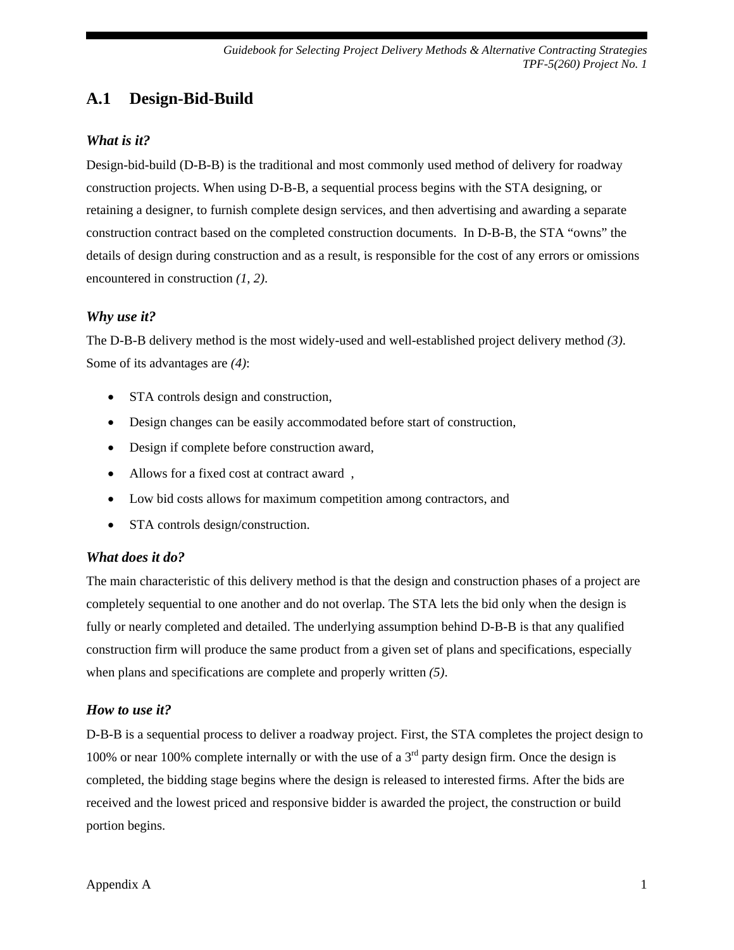# **A.1 Design-Bid-Build**

#### *What is it?*

Design-bid-build (D-B-B) is the traditional and most commonly used method of delivery for roadway construction projects. When using D-B-B, a sequential process begins with the STA designing, or retaining a designer, to furnish complete design services, and then advertising and awarding a separate construction contract based on the completed construction documents. In D-B-B, the STA "owns" the details of design during construction and as a result, is responsible for the cost of any errors or omissions encountered in construction *(1, 2)*.

#### *Why use it?*

The D-B-B delivery method is the most widely-used and well-established project delivery method *(3)*. Some of its advantages are *(4)*:

- STA controls design and construction,
- Design changes can be easily accommodated before start of construction,
- Design if complete before construction award,
- Allows for a fixed cost at contract award ,
- Low bid costs allows for maximum competition among contractors, and
- STA controls design/construction.

#### *What does it do?*

The main characteristic of this delivery method is that the design and construction phases of a project are completely sequential to one another and do not overlap. The STA lets the bid only when the design is fully or nearly completed and detailed. The underlying assumption behind D-B-B is that any qualified construction firm will produce the same product from a given set of plans and specifications, especially when plans and specifications are complete and properly written *(5)*.

#### *How to use it?*

D-B-B is a sequential process to deliver a roadway project. First, the STA completes the project design to 100% or near 100% complete internally or with the use of a  $3<sup>rd</sup>$  party design firm. Once the design is completed, the bidding stage begins where the design is released to interested firms. After the bids are received and the lowest priced and responsive bidder is awarded the project, the construction or build portion begins.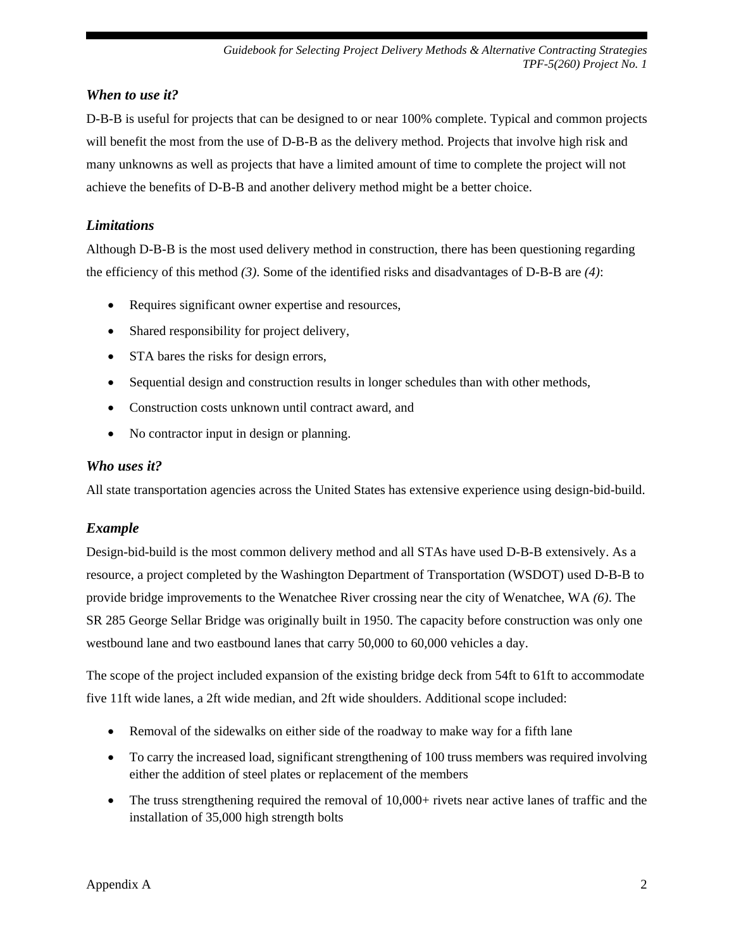## *When to use it?*

D-B-B is useful for projects that can be designed to or near 100% complete. Typical and common projects will benefit the most from the use of D-B-B as the delivery method. Projects that involve high risk and many unknowns as well as projects that have a limited amount of time to complete the project will not achieve the benefits of D-B-B and another delivery method might be a better choice.

## *Limitations*

Although D-B-B is the most used delivery method in construction, there has been questioning regarding the efficiency of this method *(3)*. Some of the identified risks and disadvantages of D-B-B are *(4)*:

- Requires significant owner expertise and resources,
- Shared responsibility for project delivery,
- STA bares the risks for design errors,
- Sequential design and construction results in longer schedules than with other methods,
- Construction costs unknown until contract award, and
- No contractor input in design or planning.

## *Who uses it?*

All state transportation agencies across the United States has extensive experience using design-bid-build.

## *Example*

Design-bid-build is the most common delivery method and all STAs have used D-B-B extensively. As a resource, a project completed by the Washington Department of Transportation (WSDOT) used D-B-B to provide bridge improvements to the Wenatchee River crossing near the city of Wenatchee, WA *(6)*. The SR 285 George Sellar Bridge was originally built in 1950. The capacity before construction was only one westbound lane and two eastbound lanes that carry 50,000 to 60,000 vehicles a day.

The scope of the project included expansion of the existing bridge deck from 54ft to 61ft to accommodate five 11ft wide lanes, a 2ft wide median, and 2ft wide shoulders. Additional scope included:

- Removal of the sidewalks on either side of the roadway to make way for a fifth lane
- To carry the increased load, significant strengthening of 100 truss members was required involving either the addition of steel plates or replacement of the members
- The truss strengthening required the removal of 10,000+ rivets near active lanes of traffic and the installation of 35,000 high strength bolts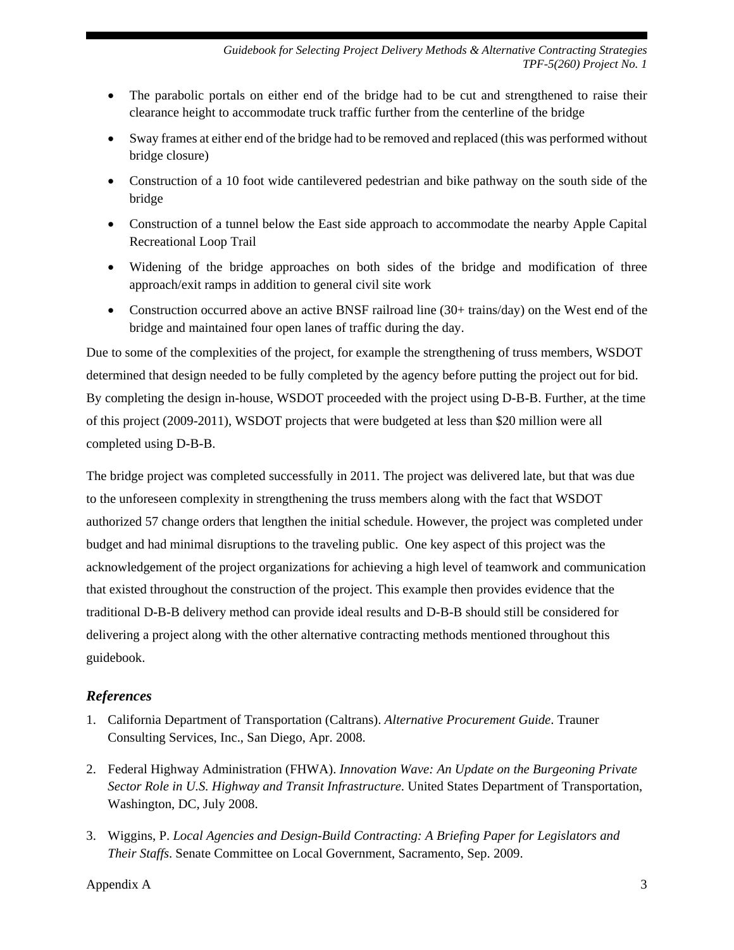- The parabolic portals on either end of the bridge had to be cut and strengthened to raise their clearance height to accommodate truck traffic further from the centerline of the bridge
- Sway frames at either end of the bridge had to be removed and replaced (this was performed without bridge closure)
- Construction of a 10 foot wide cantilevered pedestrian and bike pathway on the south side of the bridge
- Construction of a tunnel below the East side approach to accommodate the nearby Apple Capital Recreational Loop Trail
- Widening of the bridge approaches on both sides of the bridge and modification of three approach/exit ramps in addition to general civil site work
- Construction occurred above an active BNSF railroad line (30+ trains/day) on the West end of the bridge and maintained four open lanes of traffic during the day.

Due to some of the complexities of the project, for example the strengthening of truss members, WSDOT determined that design needed to be fully completed by the agency before putting the project out for bid. By completing the design in-house, WSDOT proceeded with the project using D-B-B. Further, at the time of this project (2009-2011), WSDOT projects that were budgeted at less than \$20 million were all completed using D-B-B.

The bridge project was completed successfully in 2011. The project was delivered late, but that was due to the unforeseen complexity in strengthening the truss members along with the fact that WSDOT authorized 57 change orders that lengthen the initial schedule. However, the project was completed under budget and had minimal disruptions to the traveling public. One key aspect of this project was the acknowledgement of the project organizations for achieving a high level of teamwork and communication that existed throughout the construction of the project. This example then provides evidence that the traditional D-B-B delivery method can provide ideal results and D-B-B should still be considered for delivering a project along with the other alternative contracting methods mentioned throughout this guidebook.

## *References*

- 1. California Department of Transportation (Caltrans). *Alternative Procurement Guide*. Trauner Consulting Services, Inc., San Diego, Apr. 2008.
- 2. Federal Highway Administration (FHWA). *Innovation Wave: An Update on the Burgeoning Private Sector Role in U.S. Highway and Transit Infrastructure*. United States Department of Transportation, Washington, DC, July 2008.
- 3. Wiggins, P. *Local Agencies and Design-Build Contracting: A Briefing Paper for Legislators and Their Staffs*. Senate Committee on Local Government, Sacramento, Sep. 2009.